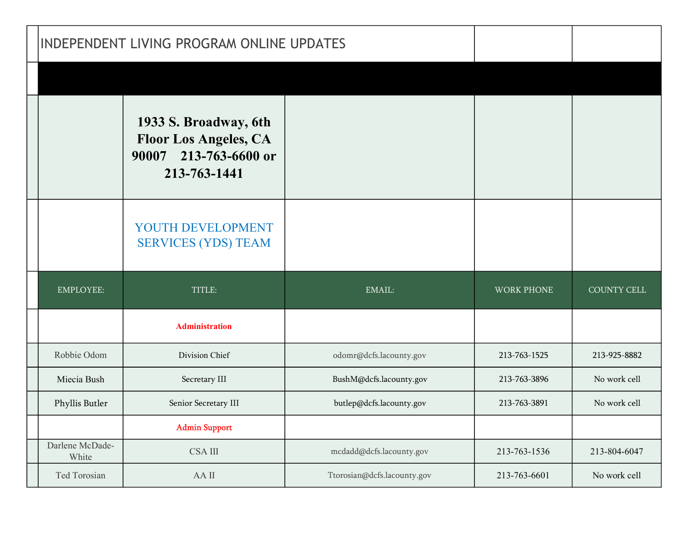| INDEPENDENT LIVING PROGRAM ONLINE UPDATES |                                                                                                   |                          |                   |                    |
|-------------------------------------------|---------------------------------------------------------------------------------------------------|--------------------------|-------------------|--------------------|
|                                           |                                                                                                   |                          |                   |                    |
|                                           | 1933 S. Broadway, 6th<br><b>Floor Los Angeles, CA</b><br>213-763-6600 or<br>90007<br>213-763-1441 |                          |                   |                    |
|                                           | YOUTH DEVELOPMENT<br><b>SERVICES (YDS) TEAM</b>                                                   |                          |                   |                    |
| <b>EMPLOYEE:</b>                          | TITLE:                                                                                            | EMAIL:                   | <b>WORK PHONE</b> | <b>COUNTY CELL</b> |
|                                           |                                                                                                   |                          |                   |                    |
|                                           | <b>Administration</b>                                                                             |                          |                   |                    |
| Robbie Odom                               | Division Chief                                                                                    | odomr@dcfs.lacounty.gov  | 213-763-1525      | 213-925-8882       |
| Miecia Bush                               | Secretary III                                                                                     | BushM@dcfs.lacounty.gov  | 213-763-3896      | No work cell       |
| Phyllis Butler                            | Senior Secretary III                                                                              | butlep@dcfs.lacounty.gov | 213-763-3891      | No work cell       |
|                                           | <b>Admin Support</b>                                                                              |                          |                   |                    |
| Darlene McDade-<br>White                  | $CSA$ $\rm III$                                                                                   | mcdadd@dcfs.lacounty.gov | 213-763-1536      | 213-804-6047       |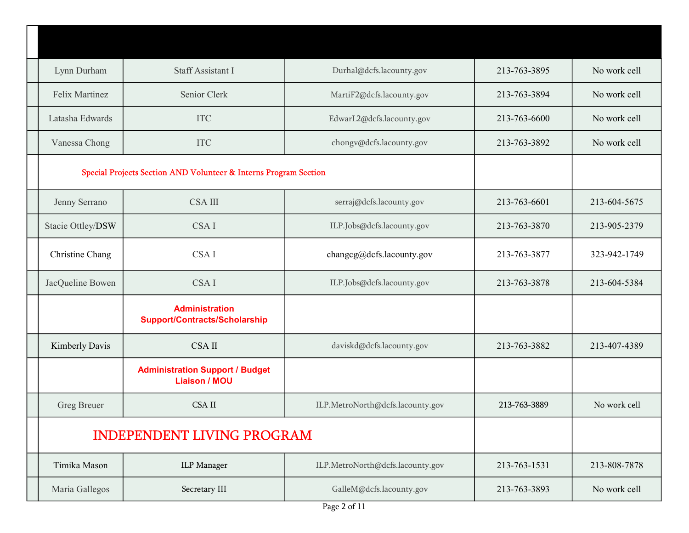| Lynn Durham       | Staff Assistant I                                                | Durhal@dcfs.lacounty.gov         | 213-763-3895 | No work cell |
|-------------------|------------------------------------------------------------------|----------------------------------|--------------|--------------|
| Felix Martinez    | Senior Clerk                                                     | MartiF2@dcfs.lacounty.gov        | 213-763-3894 | No work cell |
| Latasha Edwards   | <b>ITC</b>                                                       | EdwarL2@dcfs.lacounty.gov        | 213-763-6600 | No work cell |
| Vanessa Chong     | <b>ITC</b>                                                       | chongv@dcfs.lacounty.gov         | 213-763-3892 | No work cell |
|                   | Special Projects Section AND Volunteer & Interns Program Section |                                  |              |              |
| Jenny Serrano     | <b>CSA III</b>                                                   | serraj@dcfs.lacounty.gov         | 213-763-6601 | 213-604-5675 |
| Stacie Ottley/DSW | CSA I                                                            | ILP.Jobs@dcfs.lacounty.gov       | 213-763-3870 | 213-905-2379 |
| Christine Chang   | CSA I                                                            | changeg@defs.lacounty.gov        | 213-763-3877 | 323-942-1749 |
| JacQueline Bowen  | CSA I                                                            | ILP.Jobs@dcfs.lacounty.gov       | 213-763-3878 | 213-604-5384 |
|                   | <b>Administration</b><br><b>Support/Contracts/Scholarship</b>    |                                  |              |              |
| Kimberly Davis    | <b>CSAII</b>                                                     | daviskd@dcfs.lacounty.gov        | 213-763-3882 | 213-407-4389 |
|                   | <b>Administration Support / Budget</b><br><b>Liaison / MOU</b>   |                                  |              |              |
| Greg Breuer       | <b>CSA II</b>                                                    | ILP.MetroNorth@dcfs.lacounty.gov | 213-763-3889 | No work cell |
|                   | <b>INDEPENDENT LIVING PROGRAM</b>                                |                                  |              |              |
| Timika Mason      | <b>ILP</b> Manager                                               | ILP.MetroNorth@dcfs.lacounty.gov | 213-763-1531 | 213-808-7878 |
| Maria Gallegos    | Secretary III                                                    | GalleM@dcfs.lacounty.gov         | 213-763-3893 | No work cell |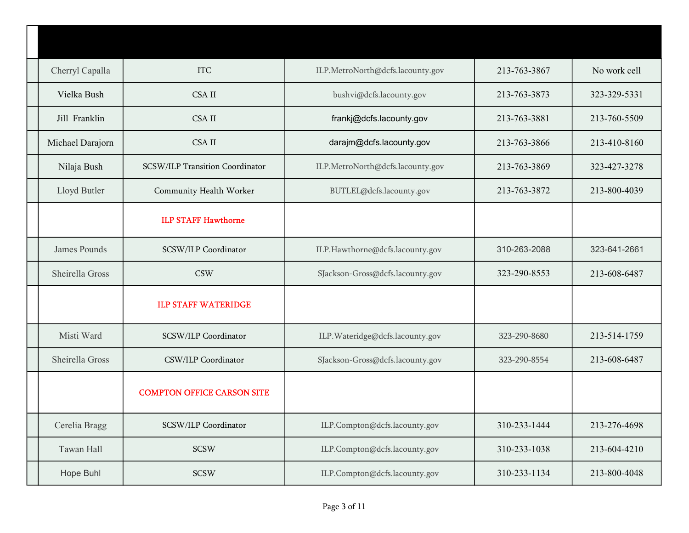| Cherryl Capalla  | <b>ITC</b>                        | ILP.MetroNorth@dcfs.lacounty.gov | 213-763-3867 | No work cell |
|------------------|-----------------------------------|----------------------------------|--------------|--------------|
| Vielka Bush      | <b>CSA II</b>                     | bushvi@dcfs.lacounty.gov         | 213-763-3873 | 323-329-5331 |
| Jill Franklin    | <b>CSA II</b>                     | frankj@dcfs.lacounty.gov         | 213-763-3881 | 213-760-5509 |
| Michael Darajorn | <b>CSA II</b>                     | darajm@dcfs.lacounty.gov         | 213-763-3866 | 213-410-8160 |
| Nilaja Bush      | SCSW/ILP Transition Coordinator   | ILP.MetroNorth@dcfs.lacounty.gov | 213-763-3869 | 323-427-3278 |
| Lloyd Butler     | Community Health Worker           | BUTLEL@dcfs.lacounty.gov         | 213-763-3872 | 213-800-4039 |
|                  | <b>ILP STAFF Hawthorne</b>        |                                  |              |              |
| James Pounds     | SCSW/ILP Coordinator              | ILP.Hawthorne@dcfs.lacounty.gov  | 310-263-2088 | 323-641-2661 |
| Sheirella Gross  | <b>CSW</b>                        | SJackson-Gross@dcfs.lacounty.gov | 323-290-8553 | 213-608-6487 |
|                  | <b>ILP STAFF WATERIDGE</b>        |                                  |              |              |
| Misti Ward       | SCSW/ILP Coordinator              | ILP. Wateridge@dcfs.lacounty.gov | 323-290-8680 | 213-514-1759 |
| Sheirella Gross  | CSW/ILP Coordinator               | SJackson-Gross@dcfs.lacounty.gov | 323-290-8554 | 213-608-6487 |
|                  | <b>COMPTON OFFICE CARSON SITE</b> |                                  |              |              |
| Cerelia Bragg    | SCSW/ILP Coordinator              | ILP.Compton@dcfs.lacounty.gov    | 310-233-1444 | 213-276-4698 |
| Tawan Hall       | <b>SCSW</b>                       | ILP.Compton@dcfs.lacounty.gov    | 310-233-1038 | 213-604-4210 |
| Hope Buhl        | <b>SCSW</b>                       | ILP.Compton@dcfs.lacounty.gov    | 310-233-1134 | 213-800-4048 |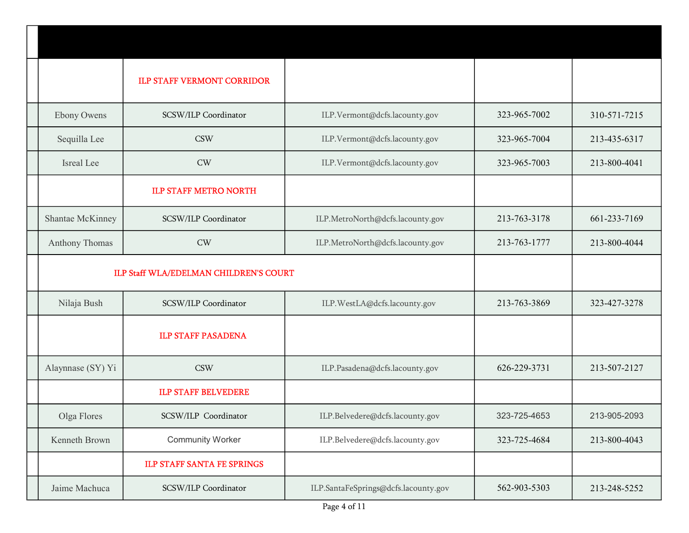|                       | <b>ILP STAFF VERMONT CORRIDOR</b>             |                                      |              |              |
|-----------------------|-----------------------------------------------|--------------------------------------|--------------|--------------|
| <b>Ebony Owens</b>    | SCSW/ILP Coordinator                          | ILP.Vermont@dcfs.lacounty.gov        | 323-965-7002 | 310-571-7215 |
| Sequilla Lee          | <b>CSW</b>                                    | ILP.Vermont@dcfs.lacounty.gov        | 323-965-7004 | 213-435-6317 |
| Isreal Lee            | CW                                            | ILP.Vermont@dcfs.lacounty.gov        | 323-965-7003 | 213-800-4041 |
|                       | <b>ILP STAFF METRO NORTH</b>                  |                                      |              |              |
| Shantae McKinney      | SCSW/ILP Coordinator                          | ILP.MetroNorth@dcfs.lacounty.gov     | 213-763-3178 | 661-233-7169 |
| <b>Anthony Thomas</b> | CW                                            | ILP.MetroNorth@dcfs.lacounty.gov     | 213-763-1777 | 213-800-4044 |
|                       | <b>ILP Staff WLA/EDELMAN CHILDREN'S COURT</b> |                                      |              |              |
| Nilaja Bush           | SCSW/ILP Coordinator                          | ILP.WestLA@dcfs.lacounty.gov         | 213-763-3869 | 323-427-3278 |
|                       | <b>ILP STAFF PASADENA</b>                     |                                      |              |              |
| Alaynnase (SY) Yi     | <b>CSW</b>                                    | ILP.Pasadena@dcfs.lacounty.gov       | 626-229-3731 | 213-507-2127 |
|                       | <b>ILP STAFF BELVEDERE</b>                    |                                      |              |              |
| Olga Flores           | SCSW/ILP Coordinator                          | ILP.Belvedere@dcfs.lacounty.gov      | 323-725-4653 | 213-905-2093 |
| Kenneth Brown         | <b>Community Worker</b>                       | ILP.Belvedere@dcfs.lacounty.gov      | 323-725-4684 | 213-800-4043 |
|                       | <b>ILP STAFF SANTA FE SPRINGS</b>             |                                      |              |              |
| Jaime Machuca         | SCSW/ILP Coordinator                          | ILP.SantaFeSprings@dcfs.lacounty.gov | 562-903-5303 | 213-248-5252 |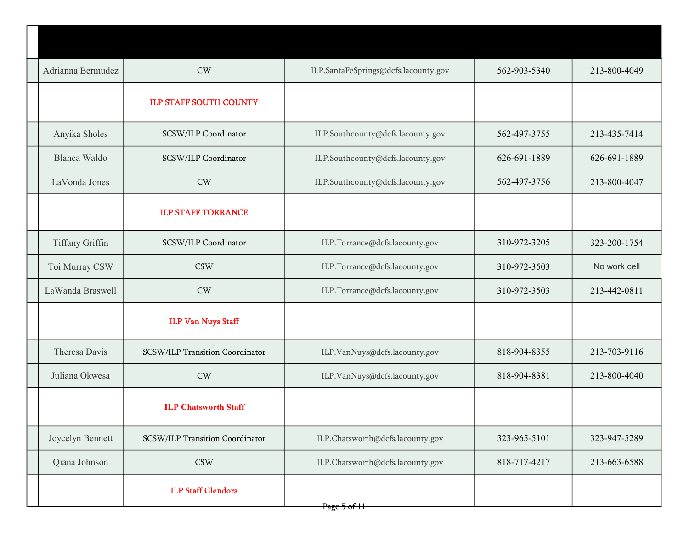| Adrianna Bermudez | CW                              | ILP.SantaFeSprings@dcfs.lacounty.gov | 562-903-5340 | 213-800-4049 |
|-------------------|---------------------------------|--------------------------------------|--------------|--------------|
|                   | <b>ILP STAFF SOUTH COUNTY</b>   |                                      |              |              |
| Anyika Sholes     | SCSW/ILP Coordinator            | ILP.Southcounty@dcfs.lacounty.gov    | 562-497-3755 | 213-435-7414 |
| Blanca Waldo      | SCSW/ILP Coordinator            | ILP.Southcounty@dcfs.lacounty.gov    | 626-691-1889 | 626-691-1889 |
| LaVonda Jones     | CW                              | ILP.Southcounty@dcfs.lacounty.gov    | 562-497-3756 | 213-800-4047 |
|                   | <b>ILP STAFF TORRANCE</b>       |                                      |              |              |
| Tiffany Griffin   | SCSW/ILP Coordinator            | ILP.Torrance@dcfs.lacounty.gov       | 310-972-3205 | 323-200-1754 |
| Toi Murray CSW    | <b>CSW</b>                      | ILP.Torrance@dcfs.lacounty.gov       | 310-972-3503 | No work cell |
| LaWanda Braswell  | CW                              | ILP.Torrance@dcfs.lacounty.gov       | 310-972-3503 | 213-442-0811 |
|                   | <b>ILP Van Nuys Staff</b>       |                                      |              |              |
| Theresa Davis     | SCSW/ILP Transition Coordinator | ILP.VanNuys@dcfs.lacounty.gov        | 818-904-8355 | 213-703-9116 |
| Juliana Okwesa    | CW                              | ILP.VanNuys@dcfs.lacounty.gov        | 818-904-8381 | 213-800-4040 |
|                   | <b>ILP Chatsworth Staff</b>     |                                      |              |              |
| Joycelyn Bennett  | SCSW/ILP Transition Coordinator | ILP.Chatsworth@dcfs.lacounty.gov     | 323-965-5101 | 323-947-5289 |
| Qiana Johnson     | <b>CSW</b>                      | ILP.Chatsworth@dcfs.lacounty.gov     | 818-717-4217 | 213-663-6588 |
|                   | <b>ILP Staff Glendora</b>       | Page 5 of 11                         |              |              |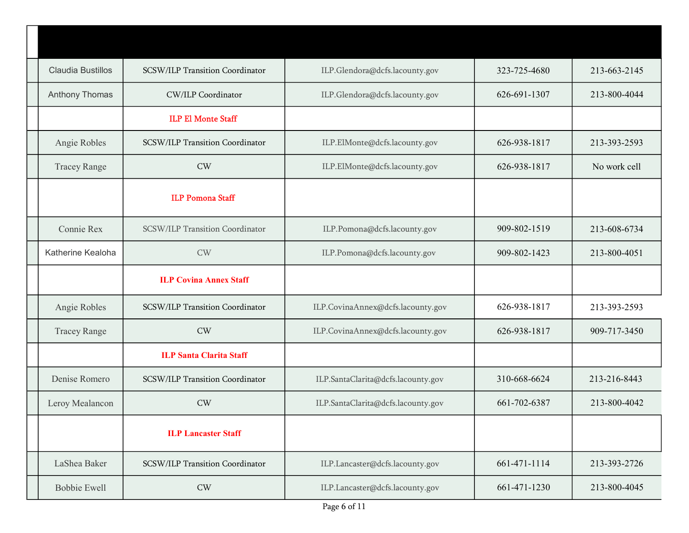| <b>Claudia Bustillos</b> | SCSW/ILP Transition Coordinator | ILP.Glendora@dcfs.lacounty.gov     | 323-725-4680 | 213-663-2145 |
|--------------------------|---------------------------------|------------------------------------|--------------|--------------|
| <b>Anthony Thomas</b>    | <b>CW/ILP Coordinator</b>       | ILP.Glendora@dcfs.lacounty.gov     | 626-691-1307 | 213-800-4044 |
|                          | <b>ILP El Monte Staff</b>       |                                    |              |              |
| Angie Robles             | SCSW/ILP Transition Coordinator | ILP.ElMonte@dcfs.lacounty.gov      | 626-938-1817 | 213-393-2593 |
| <b>Tracey Range</b>      | CW                              | ILP.ElMonte@dcfs.lacounty.gov      | 626-938-1817 | No work cell |
|                          | <b>ILP Pomona Staff</b>         |                                    |              |              |
| Connie Rex               | SCSW/ILP Transition Coordinator | ILP.Pomona@dcfs.lacounty.gov       | 909-802-1519 | 213-608-6734 |
| Katherine Kealoha        | <b>CW</b>                       | ILP.Pomona@dcfs.lacounty.gov       | 909-802-1423 | 213-800-4051 |
|                          | <b>ILP Covina Annex Staff</b>   |                                    |              |              |
| Angie Robles             | SCSW/ILP Transition Coordinator | ILP.CovinaAnnex@dcfs.lacounty.gov  | 626-938-1817 | 213-393-2593 |
| <b>Tracey Range</b>      | CW                              | ILP.CovinaAnnex@dcfs.lacounty.gov  | 626-938-1817 | 909-717-3450 |
|                          | <b>ILP Santa Clarita Staff</b>  |                                    |              |              |
| Denise Romero            | SCSW/ILP Transition Coordinator | ILP.SantaClarita@dcfs.lacounty.gov | 310-668-6624 | 213-216-8443 |
| Leroy Mealancon          | <b>CW</b>                       | ILP.SantaClarita@dcfs.lacounty.gov | 661-702-6387 | 213-800-4042 |
|                          | <b>ILP Lancaster Staff</b>      |                                    |              |              |
| LaShea Baker             | SCSW/ILP Transition Coordinator | ILP.Lancaster@dcfs.lacounty.gov    | 661-471-1114 | 213-393-2726 |
| <b>Bobbie Ewell</b>      | $\mathrm{CW}$                   | ILP.Lancaster@dcfs.lacounty.gov    | 661-471-1230 | 213-800-4045 |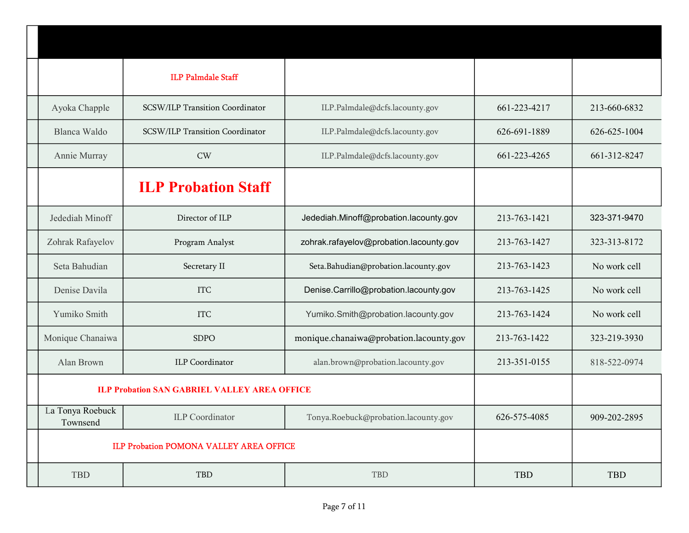|                              | <b>ILP Palmdale Staff</b>                           |                                         |              |              |
|------------------------------|-----------------------------------------------------|-----------------------------------------|--------------|--------------|
| Ayoka Chapple                | SCSW/ILP Transition Coordinator                     | ILP.Palmdale@dcfs.lacounty.gov          | 661-223-4217 | 213-660-6832 |
| Blanca Waldo                 | SCSW/ILP Transition Coordinator                     | ILP.Palmdale@dcfs.lacounty.gov          | 626-691-1889 | 626-625-1004 |
| Annie Murray                 | <b>CW</b>                                           | ILP.Palmdale@dcfs.lacounty.gov          | 661-223-4265 | 661-312-8247 |
|                              | <b>ILP Probation Staff</b>                          |                                         |              |              |
| Jedediah Minoff              | Director of ILP                                     | Jedediah.Minoff@probation.lacounty.gov  | 213-763-1421 | 323-371-9470 |
| Zohrak Rafayelov             | Program Analyst                                     | zohrak.rafayelov@probation.lacounty.gov | 213-763-1427 | 323-313-8172 |
| Seta Bahudian                | Secretary II                                        | Seta.Bahudian@probation.lacounty.gov    | 213-763-1423 | No work cell |
| Denise Davila                | <b>ITC</b>                                          | Denise.Carrillo@probation.lacounty.gov  | 213-763-1425 | No work cell |
| Yumiko Smith                 | <b>ITC</b>                                          | Yumiko.Smith@probation.lacounty.gov     | 213-763-1424 | No work cell |
| Monique Chanaiwa             | <b>SDPO</b>                                         | monique.chanaiwa@probation.lacounty.gov | 213-763-1422 | 323-219-3930 |
| Alan Brown                   | <b>ILP</b> Coordinator                              | alan.brown@probation.lacounty.gov       | 213-351-0155 | 818-522-0974 |
|                              | <b>ILP Probation SAN GABRIEL VALLEY AREA OFFICE</b> |                                         |              |              |
| La Tonya Roebuck<br>Townsend | <b>ILP</b> Coordinator                              | Tonya.Roebuck@probation.lacounty.gov    | 626-575-4085 | 909-202-2895 |
|                              | <b>ILP Probation POMONA VALLEY AREA OFFICE</b>      |                                         |              |              |
| TBD                          | TBD                                                 | TBD                                     | TBD          | TBD          |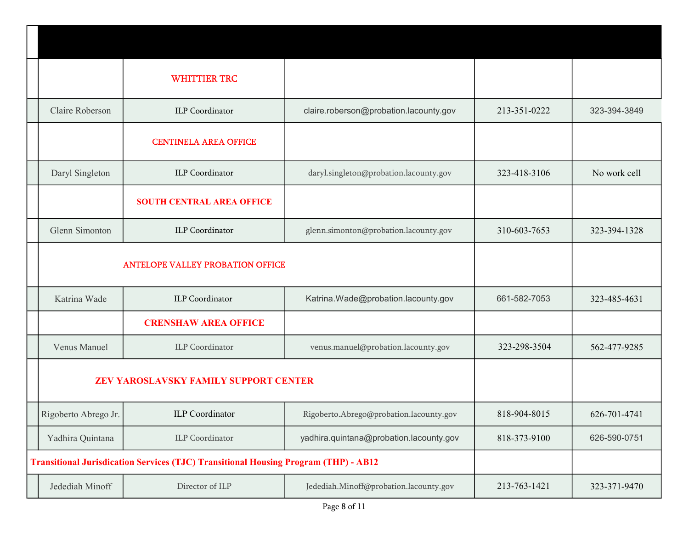|                      | <b>WHITTIER TRC</b>                                                                        |                                         |              |              |
|----------------------|--------------------------------------------------------------------------------------------|-----------------------------------------|--------------|--------------|
| Claire Roberson      | <b>ILP</b> Coordinator                                                                     | claire.roberson@probation.lacounty.gov  | 213-351-0222 | 323-394-3849 |
|                      | <b>CENTINELA AREA OFFICE</b>                                                               |                                         |              |              |
| Daryl Singleton      | <b>ILP</b> Coordinator                                                                     | daryl.singleton@probation.lacounty.gov  | 323-418-3106 | No work cell |
|                      | <b>SOUTH CENTRAL AREA OFFICE</b>                                                           |                                         |              |              |
| Glenn Simonton       | <b>ILP</b> Coordinator                                                                     | glenn.simonton@probation.lacounty.gov   | 310-603-7653 | 323-394-1328 |
|                      | <b>ANTELOPE VALLEY PROBATION OFFICE</b>                                                    |                                         |              |              |
| Katrina Wade         | <b>ILP</b> Coordinator                                                                     | Katrina.Wade@probation.lacounty.gov     | 661-582-7053 | 323-485-4631 |
|                      | <b>CRENSHAW AREA OFFICE</b>                                                                |                                         |              |              |
| Venus Manuel         | <b>ILP</b> Coordinator                                                                     | venus.manuel@probation.lacounty.gov     | 323-298-3504 | 562-477-9285 |
|                      | ZEV YAROSLAVSKY FAMILY SUPPORT CENTER                                                      |                                         |              |              |
| Rigoberto Abrego Jr. | <b>ILP</b> Coordinator                                                                     | Rigoberto.Abrego@probation.lacounty.gov | 818-904-8015 | 626-701-4741 |
| Yadhira Quintana     | <b>ILP</b> Coordinator                                                                     | yadhira.quintana@probation.lacounty.gov | 818-373-9100 | 626-590-0751 |
|                      | <b>Transitional Jurisdication Services (TJC) Transitional Housing Program (THP) - AB12</b> |                                         |              |              |
| Jedediah Minoff      | Director of ILP                                                                            | Jedediah.Minoff@probation.lacounty.gov  | 213-763-1421 | 323-371-9470 |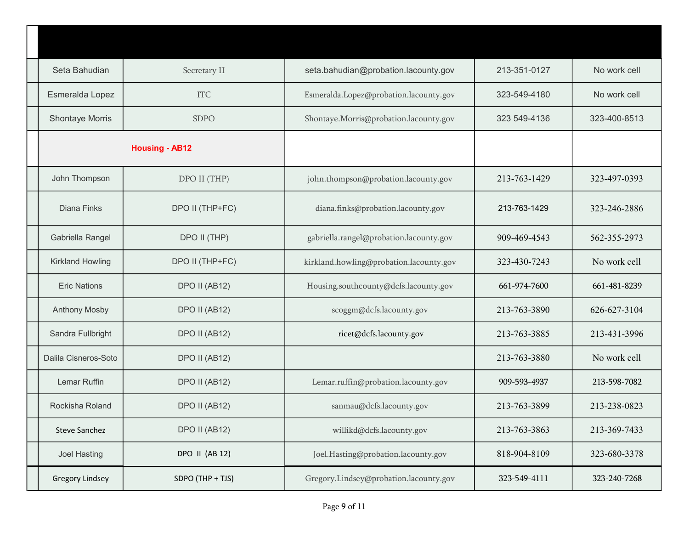| Seta Bahudian           | Secretary II          | seta.bahudian@probation.lacounty.gov    | 213-351-0127 | No work cell |
|-------------------------|-----------------------|-----------------------------------------|--------------|--------------|
| Esmeralda Lopez         | <b>ITC</b>            | Esmeralda.Lopez@probation.lacounty.gov  | 323-549-4180 | No work cell |
| <b>Shontaye Morris</b>  | <b>SDPO</b>           | Shontaye.Morris@probation.lacounty.gov  | 323 549-4136 | 323-400-8513 |
|                         | <b>Housing - AB12</b> |                                         |              |              |
| John Thompson           | DPO II (THP)          | john.thompson@probation.lacounty.gov    | 213-763-1429 | 323-497-0393 |
| Diana Finks             | DPO II (THP+FC)       | diana.finks@probation.lacounty.gov      | 213-763-1429 | 323-246-2886 |
| Gabriella Rangel        | DPO II (THP)          | gabriella.rangel@probation.lacounty.gov | 909-469-4543 | 562-355-2973 |
| <b>Kirkland Howling</b> | DPO II (THP+FC)       | kirkland.howling@probation.lacounty.gov | 323-430-7243 | No work cell |
| <b>Eric Nations</b>     | DPO II (AB12)         | Housing.southcounty@dcfs.lacounty.gov   | 661-974-7600 | 661-481-8239 |
| <b>Anthony Mosby</b>    | DPO II (AB12)         | scoggm@dcfs.lacounty.gov                | 213-763-3890 | 626-627-3104 |
| Sandra Fullbright       | DPO II (AB12)         | ricet@dcfs.lacounty.gov                 | 213-763-3885 | 213-431-3996 |
| Dalila Cisneros-Soto    | DPO II (AB12)         |                                         | 213-763-3880 | No work cell |
| Lemar Ruffin            | DPO II (AB12)         | Lemar.ruffin@probation.lacounty.gov     | 909-593-4937 | 213-598-7082 |
| Rockisha Roland         | DPO II (AB12)         | sanmau@dcfs.lacounty.gov                | 213-763-3899 | 213-238-0823 |
| <b>Steve Sanchez</b>    | DPO II (AB12)         | willikd@dcfs.lacounty.gov               | 213-763-3863 | 213-369-7433 |
| <b>Joel Hasting</b>     | <b>DPO II (AB 12)</b> | Joel.Hasting@probation.lacounty.gov     | 818-904-8109 | 323-680-3378 |
| <b>Gregory Lindsey</b>  | SDPO (THP + TJS)      | Gregory.Lindsey@probation.lacounty.gov  | 323-549-4111 | 323-240-7268 |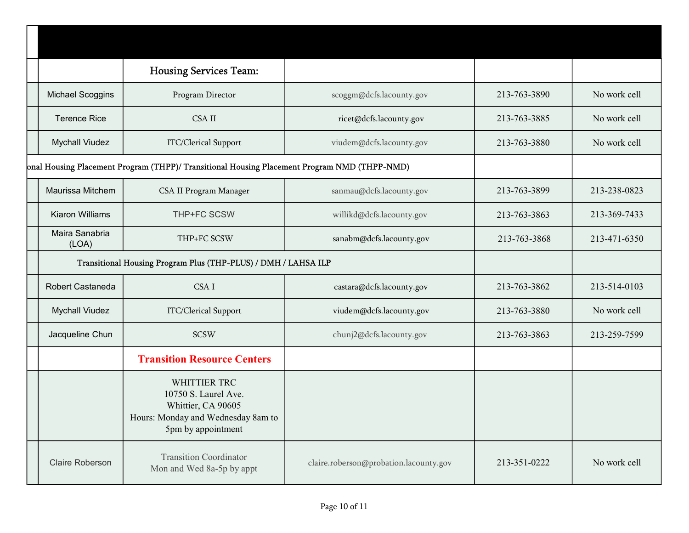|                         | <b>Housing Services Team:</b>                                                                                          |                                        |              |              |
|-------------------------|------------------------------------------------------------------------------------------------------------------------|----------------------------------------|--------------|--------------|
| <b>Michael Scoggins</b> | Program Director                                                                                                       | scoggm@dcfs.lacounty.gov               | 213-763-3890 | No work cell |
| <b>Terence Rice</b>     | <b>CSA II</b>                                                                                                          | ricet@dcfs.lacounty.gov                | 213-763-3885 | No work cell |
| <b>Mychall Viudez</b>   | ITC/Clerical Support                                                                                                   | viudem@dcfs.lacounty.gov               | 213-763-3880 | No work cell |
|                         | onal Housing Placement Program (THPP)/ Transitional Housing Placement Program NMD (THPP-NMD)                           |                                        |              |              |
| Maurissa Mitchem        | CSA II Program Manager                                                                                                 | sanmau@dcfs.lacounty.gov               | 213-763-3899 | 213-238-0823 |
| <b>Kiaron Williams</b>  | THP+FC SCSW                                                                                                            | willikd@dcfs.lacounty.gov              | 213-763-3863 | 213-369-7433 |
| Maira Sanabria<br>(LOA) | THP+FC SCSW                                                                                                            | sanabm@dcfs.lacounty.gov               | 213-763-3868 | 213-471-6350 |
|                         | Transitional Housing Program Plus (THP-PLUS) / DMH / LAHSA ILP                                                         |                                        |              |              |
| Robert Castaneda        | CSA I                                                                                                                  | castara@dcfs.lacounty.gov              | 213-763-3862 | 213-514-0103 |
| <b>Mychall Viudez</b>   | ITC/Clerical Support                                                                                                   | viudem@dcfs.lacounty.gov               | 213-763-3880 | No work cell |
| Jacqueline Chun         | <b>SCSW</b>                                                                                                            | chunj2@dcfs.lacounty.gov               | 213-763-3863 | 213-259-7599 |
|                         | <b>Transition Resource Centers</b>                                                                                     |                                        |              |              |
|                         | WHITTIER TRC<br>10750 S. Laurel Ave.<br>Whittier, CA 90605<br>Hours: Monday and Wednesday 8am to<br>5pm by appointment |                                        |              |              |
| <b>Claire Roberson</b>  | <b>Transition Coordinator</b><br>Mon and Wed 8a-5p by appt                                                             | claire.roberson@probation.lacounty.gov | 213-351-0222 | No work cell |